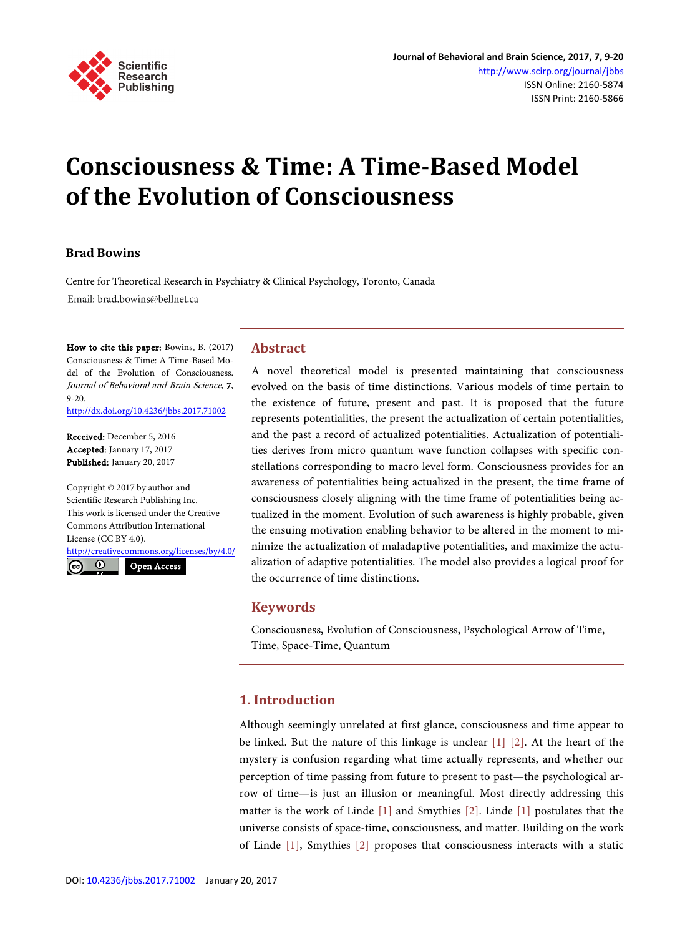

# **Consciousness & Time: A Time-Based Model of the Evolution of Consciousness**

### **Brad Bowins**

Centre for Theoretical Research in Psychiatry & Clinical Psychology, Toronto, Canada Email: brad.bowins@bellnet.ca

How to cite this paper: Bowins, B. (2017) Consciousness & Time: A Time-Based Model of the Evolution of Consciousness. Journal of Behavioral and Brain Science, 7, 9-20. <http://dx.doi.org/10.4236/jbbs.2017.71002>

Received: December 5, 2016 Accepted: January 17, 2017 Published: January 20, 2017

Copyright © 2017 by author and Scientific Research Publishing Inc. This work is licensed under the Creative Commons Attribution International License (CC BY 4.0). <http://creativecommons.org/licenses/by/4.0/>

<u>ල</u>  $\odot$ Open Access

## **Abstract**

A novel theoretical model is presented maintaining that consciousness evolved on the basis of time distinctions. Various models of time pertain to the existence of future, present and past. It is proposed that the future represents potentialities, the present the actualization of certain potentialities, and the past a record of actualized potentialities. Actualization of potentialities derives from micro quantum wave function collapses with specific constellations corresponding to macro level form. Consciousness provides for an awareness of potentialities being actualized in the present, the time frame of consciousness closely aligning with the time frame of potentialities being actualized in the moment. Evolution of such awareness is highly probable, given the ensuing motivation enabling behavior to be altered in the moment to minimize the actualization of maladaptive potentialities, and maximize the actualization of adaptive potentialities. The model also provides a logical proof for the occurrence of time distinctions.

## **Keywords**

Consciousness, Evolution of Consciousness, Psychological Arrow of Time, Time, Space-Time, Quantum

# **1. Introduction**

Although seemingly unrelated at first glance, consciousness and time appear to be linked. But the nature of this linkage is unclear [\[1\]](#page-9-0) [\[2\].](#page-9-1) At the heart of the mystery is confusion regarding what time actually represents, and whether our perception of time passing from future to present to past—the psychological arrow of time—is just an illusion or meaningful. Most directly addressing this matter is the work of Linde [\[1\]](#page-9-0) and Smythies [\[2\].](#page-9-1) Linde [\[1\]](#page-9-0) postulates that the universe consists of space-time, consciousness, and matter. Building on the work of Linde [\[1\],](#page-9-0) Smythies [\[2\]](#page-9-1) proposes that consciousness interacts with a static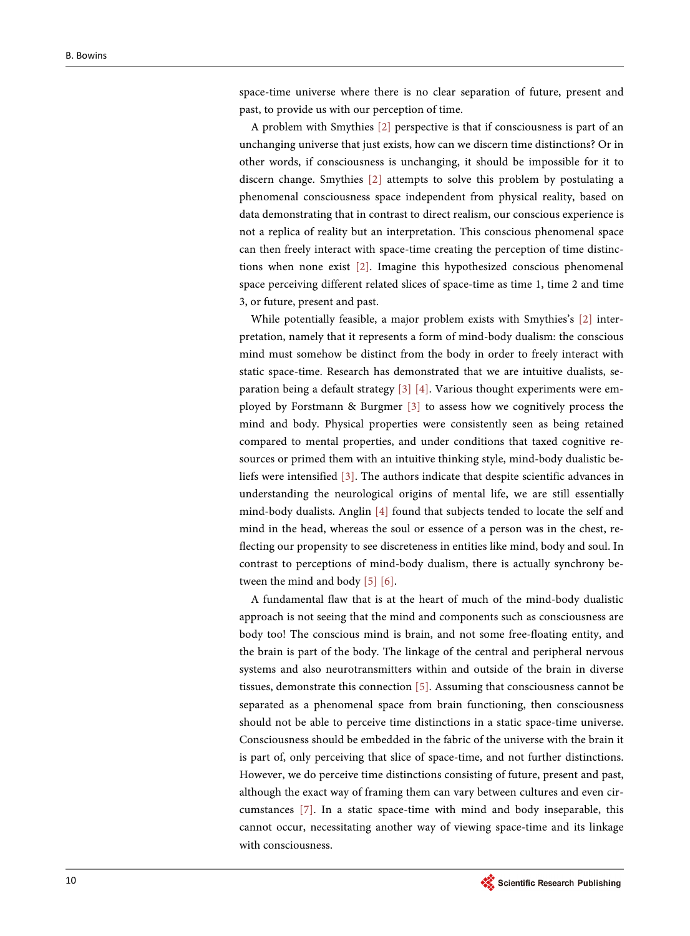space-time universe where there is no clear separation of future, present and past, to provide us with our perception of time.

A problem with Smythies [\[2\]](#page-9-1) perspective is that if consciousness is part of an unchanging universe that just exists, how can we discern time distinctions? Or in other words, if consciousness is unchanging, it should be impossible for it to discern change. Smythies [\[2\]](#page-9-1) attempts to solve this problem by postulating a phenomenal consciousness space independent from physical reality, based on data demonstrating that in contrast to direct realism, our conscious experience is not a replica of reality but an interpretation. This conscious phenomenal space can then freely interact with space-time creating the perception of time distinctions when none exist [\[2\].](#page-9-1) Imagine this hypothesized conscious phenomenal space perceiving different related slices of space-time as time 1, time 2 and time 3, or future, present and past.

While potentially feasible, a major problem exists with Smythies's [\[2\]](#page-9-1) interpretation, namely that it represents a form of mind-body dualism: the conscious mind must somehow be distinct from the body in order to freely interact with static space-time. Research has demonstrated that we are intuitive dualists, separation being a default strategy [\[3\]](#page-9-2) [\[4\].](#page-9-3) Various thought experiments were employed by Forstmann & Burgmer [\[3\]](#page-9-2) to assess how we cognitively process the mind and body. Physical properties were consistently seen as being retained compared to mental properties, and under conditions that taxed cognitive resources or primed them with an intuitive thinking style, mind-body dualistic beliefs were intensified [\[3\].](#page-9-2) The authors indicate that despite scientific advances in understanding the neurological origins of mental life, we are still essentially mind-body dualists. Anglin [\[4\]](#page-9-3) found that subjects tended to locate the self and mind in the head, whereas the soul or essence of a person was in the chest, reflecting our propensity to see discreteness in entities like mind, body and soul. In contrast to perceptions of mind-body dualism, there is actually synchrony between the mind and body [\[5\]](#page-9-4) [\[6\].](#page-9-5)

A fundamental flaw that is at the heart of much of the mind-body dualistic approach is not seeing that the mind and components such as consciousness are body too! The conscious mind is brain, and not some free-floating entity, and the brain is part of the body. The linkage of the central and peripheral nervous systems and also neurotransmitters within and outside of the brain in diverse tissues, demonstrate this connection [\[5\].](#page-9-4) Assuming that consciousness cannot be separated as a phenomenal space from brain functioning, then consciousness should not be able to perceive time distinctions in a static space-time universe. Consciousness should be embedded in the fabric of the universe with the brain it is part of, only perceiving that slice of space-time, and not further distinctions. However, we do perceive time distinctions consisting of future, present and past, although the exact way of framing them can vary between cultures and even circumstances [\[7\].](#page-9-6) In a static space-time with mind and body inseparable, this cannot occur, necessitating another way of viewing space-time and its linkage with consciousness.

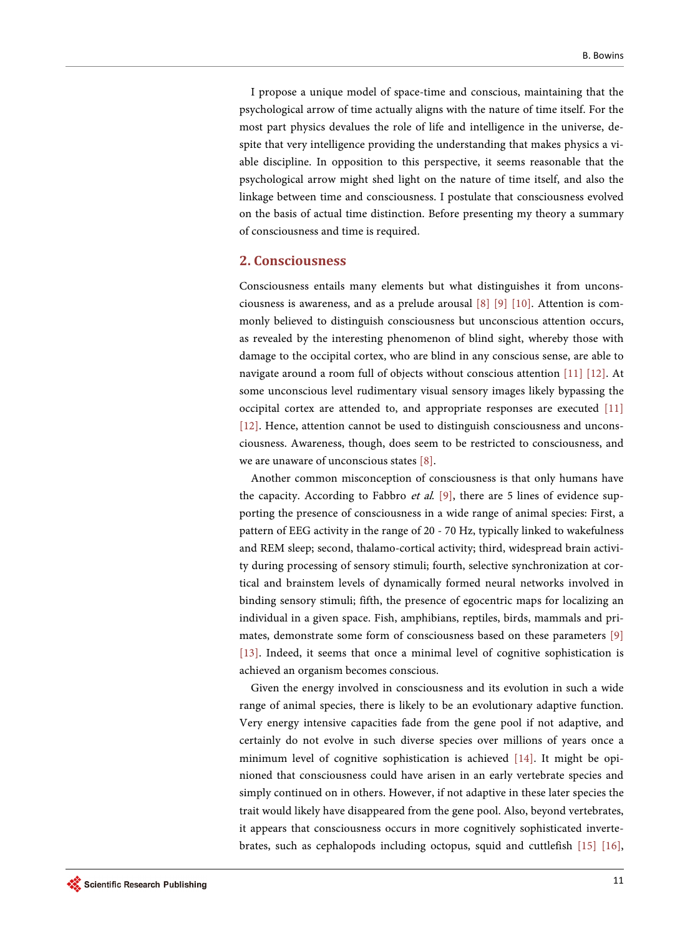I propose a unique model of space-time and conscious, maintaining that the psychological arrow of time actually aligns with the nature of time itself. For the most part physics devalues the role of life and intelligence in the universe, despite that very intelligence providing the understanding that makes physics a viable discipline. In opposition to this perspective, it seems reasonable that the psychological arrow might shed light on the nature of time itself, and also the linkage between time and consciousness. I postulate that consciousness evolved on the basis of actual time distinction. Before presenting my theory a summary of consciousness and time is required.

## **2. Consciousness**

Consciousness entails many elements but what distinguishes it from unconsciousness is awareness, and as a prelude arousal [\[8\]](#page-10-0) [\[9\]](#page-10-1) [\[10\].](#page-10-2) Attention is commonly believed to distinguish consciousness but unconscious attention occurs, as revealed by the interesting phenomenon of blind sight, whereby those with damage to the occipital cortex, who are blind in any conscious sense, are able to navigate around a room full of objects without conscious attention [\[11\]](#page-10-3) [\[12\].](#page-10-4) At some unconscious level rudimentary visual sensory images likely bypassing the occipital cortex are attended to, and appropriate responses are executed [\[11\]](#page-10-3) [\[12\].](#page-10-4) Hence, attention cannot be used to distinguish consciousness and unconsciousness. Awareness, though, does seem to be restricted to consciousness, and we are unaware of unconscious states [\[8\].](#page-10-0)

Another common misconception of consciousness is that only humans have the capacity. According to Fabbro *et al.* [\[9\],](#page-10-1) there are 5 lines of evidence supporting the presence of consciousness in a wide range of animal species: First, a pattern of EEG activity in the range of 20 - 70 Hz, typically linked to wakefulness and REM sleep; second, thalamo-cortical activity; third, widespread brain activity during processing of sensory stimuli; fourth, selective synchronization at cortical and brainstem levels of dynamically formed neural networks involved in binding sensory stimuli; fifth, the presence of egocentric maps for localizing an individual in a given space. Fish, amphibians, reptiles, birds, mammals and primates, demonstrate some form of consciousness based on these parameters [\[9\]](#page-10-1) [\[13\].](#page-10-5) Indeed, it seems that once a minimal level of cognitive sophistication is achieved an organism becomes conscious.

Given the energy involved in consciousness and its evolution in such a wide range of animal species, there is likely to be an evolutionary adaptive function. Very energy intensive capacities fade from the gene pool if not adaptive, and certainly do not evolve in such diverse species over millions of years once a minimum level of cognitive sophistication is achieved [\[14\].](#page-10-6) It might be opinioned that consciousness could have arisen in an early vertebrate species and simply continued on in others. However, if not adaptive in these later species the trait would likely have disappeared from the gene pool. Also, beyond vertebrates, it appears that consciousness occurs in more cognitively sophisticated invertebrates, such as cephalopods including octopus, squid and cuttlefish [\[15\]](#page-10-7) [\[16\],](#page-10-8)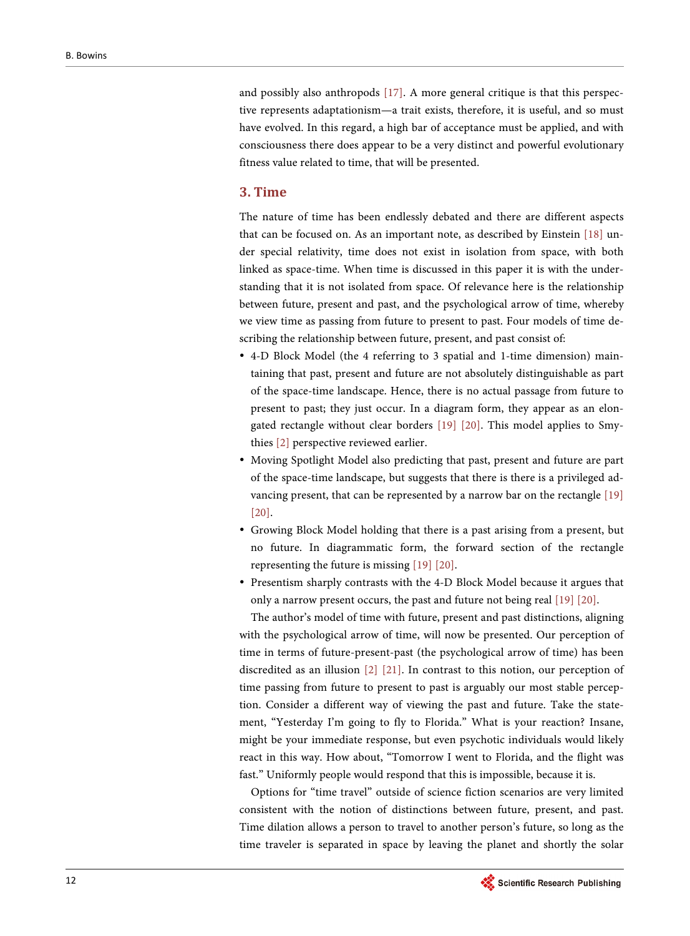and possibly also anthropods [\[17\].](#page-10-9) A more general critique is that this perspective represents adaptationism—a trait exists, therefore, it is useful, and so must have evolved. In this regard, a high bar of acceptance must be applied, and with consciousness there does appear to be a very distinct and powerful evolutionary fitness value related to time, that will be presented.

# **3. Time**

The nature of time has been endlessly debated and there are different aspects that can be focused on. As an important note, as described by Einstein [\[18\]](#page-10-10) under special relativity, time does not exist in isolation from space, with both linked as space-time. When time is discussed in this paper it is with the understanding that it is not isolated from space. Of relevance here is the relationship between future, present and past, and the psychological arrow of time, whereby we view time as passing from future to present to past. Four models of time describing the relationship between future, present, and past consist of:

- 4-D Block Model (the 4 referring to 3 spatial and 1-time dimension) maintaining that past, present and future are not absolutely distinguishable as part of the space-time landscape. Hence, there is no actual passage from future to present to past; they just occur. In a diagram form, they appear as an elongated rectangle without clear borders [\[19\]](#page-10-11) [\[20\].](#page-10-12) This model applies to Smythies [\[2\]](#page-9-1) perspective reviewed earlier.
- Moving Spotlight Model also predicting that past, present and future are part of the space-time landscape, but suggests that there is there is a privileged advancing present, that can be represented by a narrow bar on the rectangle [\[19\]](#page-10-11) [\[20\].](#page-10-12)
- Growing Block Model holding that there is a past arising from a present, but no future. In diagrammatic form, the forward section of the rectangle representing the future is missing [\[19\]](#page-10-11) [\[20\].](#page-10-12)
- Presentism sharply contrasts with the 4-D Block Model because it argues that only a narrow present occurs, the past and future not being real [\[19\]](#page-10-11) [\[20\].](#page-10-12)

The author's model of time with future, present and past distinctions, aligning with the psychological arrow of time, will now be presented. Our perception of time in terms of future-present-past (the psychological arrow of time) has been discredited as an illusion [\[2\]](#page-9-1) [\[21\].](#page-10-13) In contrast to this notion, our perception of time passing from future to present to past is arguably our most stable perception. Consider a different way of viewing the past and future. Take the statement, "Yesterday I'm going to fly to Florida." What is your reaction? Insane, might be your immediate response, but even psychotic individuals would likely react in this way. How about, "Tomorrow I went to Florida, and the flight was fast." Uniformly people would respond that this is impossible, because it is.

Options for "time travel" outside of science fiction scenarios are very limited consistent with the notion of distinctions between future, present, and past. Time dilation allows a person to travel to another person's future, so long as the time traveler is separated in space by leaving the planet and shortly the solar

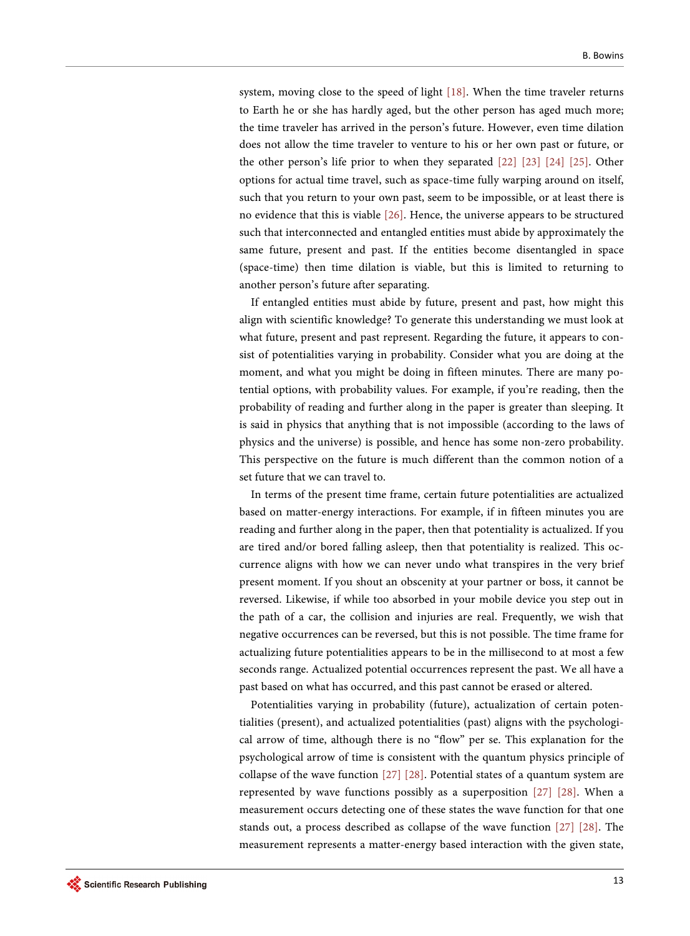system, moving close to the speed of light [\[18\].](#page-10-10) When the time traveler returns to Earth he or she has hardly aged, but the other person has aged much more; the time traveler has arrived in the person's future. However, even time dilation does not allow the time traveler to venture to his or her own past or future, or the other person's life prior to when they separated [\[22\]](#page-10-14) [\[23\]](#page-10-15) [\[24\]](#page-10-16) [\[25\].](#page-10-17) Other options for actual time travel, such as space-time fully warping around on itself, such that you return to your own past, seem to be impossible, or at least there is no evidence that this is viable [\[26\].](#page-10-18) Hence, the universe appears to be structured such that interconnected and entangled entities must abide by approximately the same future, present and past. If the entities become disentangled in space (space-time) then time dilation is viable, but this is limited to returning to another person's future after separating.

If entangled entities must abide by future, present and past, how might this align with scientific knowledge? To generate this understanding we must look at what future, present and past represent. Regarding the future, it appears to consist of potentialities varying in probability. Consider what you are doing at the moment, and what you might be doing in fifteen minutes. There are many potential options, with probability values. For example, if you're reading, then the probability of reading and further along in the paper is greater than sleeping. It is said in physics that anything that is not impossible (according to the laws of physics and the universe) is possible, and hence has some non-zero probability. This perspective on the future is much different than the common notion of a set future that we can travel to.

In terms of the present time frame, certain future potentialities are actualized based on matter-energy interactions. For example, if in fifteen minutes you are reading and further along in the paper, then that potentiality is actualized. If you are tired and/or bored falling asleep, then that potentiality is realized. This occurrence aligns with how we can never undo what transpires in the very brief present moment. If you shout an obscenity at your partner or boss, it cannot be reversed. Likewise, if while too absorbed in your mobile device you step out in the path of a car, the collision and injuries are real. Frequently, we wish that negative occurrences can be reversed, but this is not possible. The time frame for actualizing future potentialities appears to be in the millisecond to at most a few seconds range. Actualized potential occurrences represent the past. We all have a past based on what has occurred, and this past cannot be erased or altered.

Potentialities varying in probability (future), actualization of certain potentialities (present), and actualized potentialities (past) aligns with the psychological arrow of time, although there is no "flow" per se. This explanation for the psychological arrow of time is consistent with the quantum physics principle of collapse of the wave function [\[27\]](#page-11-0) [\[28\].](#page-11-1) Potential states of a quantum system are represented by wave functions possibly as a superposition [\[27\]](#page-11-0) [\[28\].](#page-11-1) When a measurement occurs detecting one of these states the wave function for that one stands out, a process described as collapse of the wave function [\[27\]](#page-11-0) [\[28\].](#page-11-1) The measurement represents a matter-energy based interaction with the given state,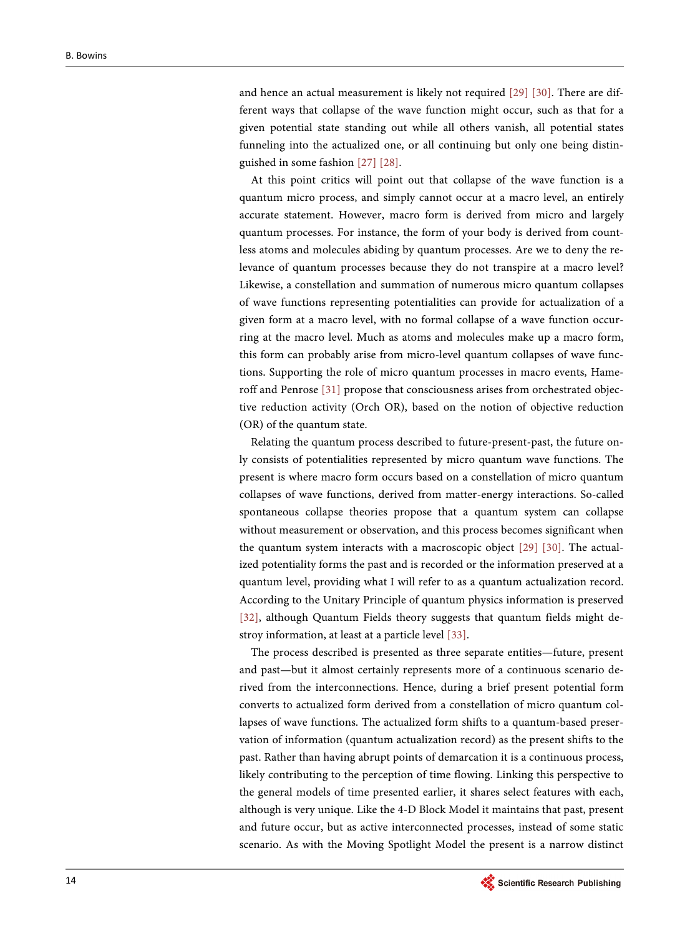and hence an actual measurement is likely not required [\[29\]](#page-11-2) [\[30\].](#page-11-3) There are different ways that collapse of the wave function might occur, such as that for a given potential state standing out while all others vanish, all potential states funneling into the actualized one, or all continuing but only one being distinguished in some fashion [\[27\]](#page-11-0) [\[28\].](#page-11-1)

At this point critics will point out that collapse of the wave function is a quantum micro process, and simply cannot occur at a macro level, an entirely accurate statement. However, macro form is derived from micro and largely quantum processes. For instance, the form of your body is derived from countless atoms and molecules abiding by quantum processes. Are we to deny the relevance of quantum processes because they do not transpire at a macro level? Likewise, a constellation and summation of numerous micro quantum collapses of wave functions representing potentialities can provide for actualization of a given form at a macro level, with no formal collapse of a wave function occurring at the macro level. Much as atoms and molecules make up a macro form, this form can probably arise from micro-level quantum collapses of wave functions. Supporting the role of micro quantum processes in macro events, Hameroff and Penrose [\[31\]](#page-11-4) propose that consciousness arises from orchestrated objective reduction activity (Orch OR), based on the notion of objective reduction (OR) of the quantum state.

Relating the quantum process described to future-present-past, the future only consists of potentialities represented by micro quantum wave functions. The present is where macro form occurs based on a constellation of micro quantum collapses of wave functions, derived from matter-energy interactions. So-called spontaneous collapse theories propose that a quantum system can collapse without measurement or observation, and this process becomes significant when the quantum system interacts with a macroscopic object [\[29\]](#page-11-2) [\[30\].](#page-11-3) The actualized potentiality forms the past and is recorded or the information preserved at a quantum level, providing what I will refer to as a quantum actualization record. According to the Unitary Principle of quantum physics information is preserved [\[32\],](#page-11-5) although Quantum Fields theory suggests that quantum fields might destroy information, at least at a particle level [\[33\].](#page-11-6)

The process described is presented as three separate entities—future, present and past—but it almost certainly represents more of a continuous scenario derived from the interconnections. Hence, during a brief present potential form converts to actualized form derived from a constellation of micro quantum collapses of wave functions. The actualized form shifts to a quantum-based preservation of information (quantum actualization record) as the present shifts to the past. Rather than having abrupt points of demarcation it is a continuous process, likely contributing to the perception of time flowing. Linking this perspective to the general models of time presented earlier, it shares select features with each, although is very unique. Like the 4-D Block Model it maintains that past, present and future occur, but as active interconnected processes, instead of some static scenario. As with the Moving Spotlight Model the present is a narrow distinct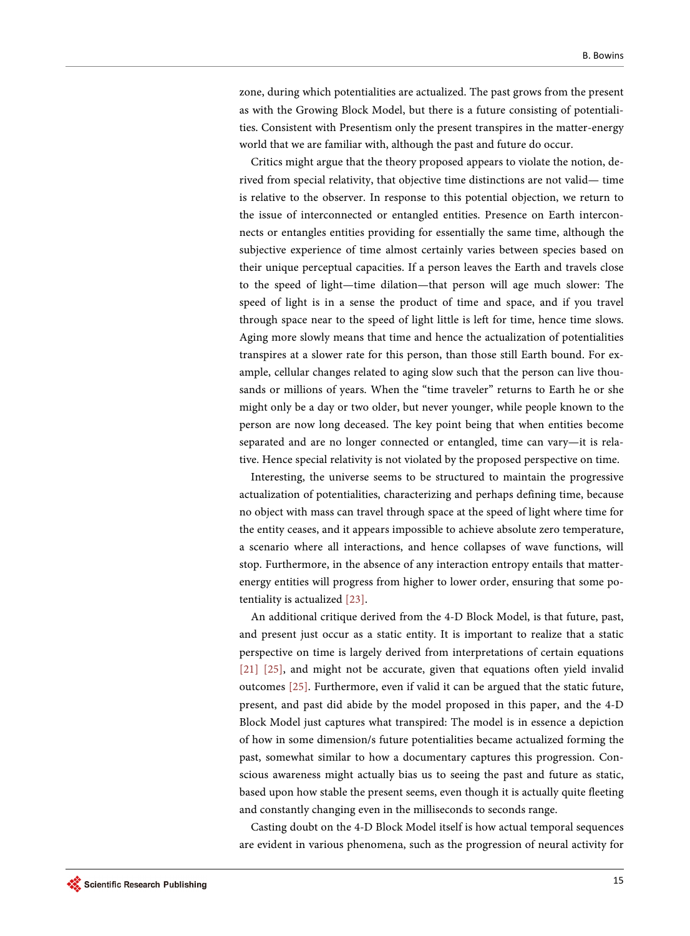zone, during which potentialities are actualized. The past grows from the present as with the Growing Block Model, but there is a future consisting of potentialities. Consistent with Presentism only the present transpires in the matter-energy world that we are familiar with, although the past and future do occur.

Critics might argue that the theory proposed appears to violate the notion, derived from special relativity, that objective time distinctions are not valid— time is relative to the observer. In response to this potential objection, we return to the issue of interconnected or entangled entities. Presence on Earth interconnects or entangles entities providing for essentially the same time, although the subjective experience of time almost certainly varies between species based on their unique perceptual capacities. If a person leaves the Earth and travels close to the speed of light—time dilation—that person will age much slower: The speed of light is in a sense the product of time and space, and if you travel through space near to the speed of light little is left for time, hence time slows. Aging more slowly means that time and hence the actualization of potentialities transpires at a slower rate for this person, than those still Earth bound. For example, cellular changes related to aging slow such that the person can live thousands or millions of years. When the "time traveler" returns to Earth he or she might only be a day or two older, but never younger, while people known to the person are now long deceased. The key point being that when entities become separated and are no longer connected or entangled, time can vary—it is relative. Hence special relativity is not violated by the proposed perspective on time.

Interesting, the universe seems to be structured to maintain the progressive actualization of potentialities, characterizing and perhaps defining time, because no object with mass can travel through space at the speed of light where time for the entity ceases, and it appears impossible to achieve absolute zero temperature, a scenario where all interactions, and hence collapses of wave functions, will stop. Furthermore, in the absence of any interaction entropy entails that matterenergy entities will progress from higher to lower order, ensuring that some potentiality is actualized [\[23\].](#page-10-15)

An additional critique derived from the 4-D Block Model, is that future, past, and present just occur as a static entity. It is important to realize that a static perspective on time is largely derived from interpretations of certain equations [\[21\]](#page-10-13) [\[25\],](#page-10-17) and might not be accurate, given that equations often yield invalid outcomes [\[25\].](#page-10-17) Furthermore, even if valid it can be argued that the static future, present, and past did abide by the model proposed in this paper, and the 4-D Block Model just captures what transpired: The model is in essence a depiction of how in some dimension/s future potentialities became actualized forming the past, somewhat similar to how a documentary captures this progression. Conscious awareness might actually bias us to seeing the past and future as static, based upon how stable the present seems, even though it is actually quite fleeting and constantly changing even in the milliseconds to seconds range.

Casting doubt on the 4-D Block Model itself is how actual temporal sequences are evident in various phenomena, such as the progression of neural activity for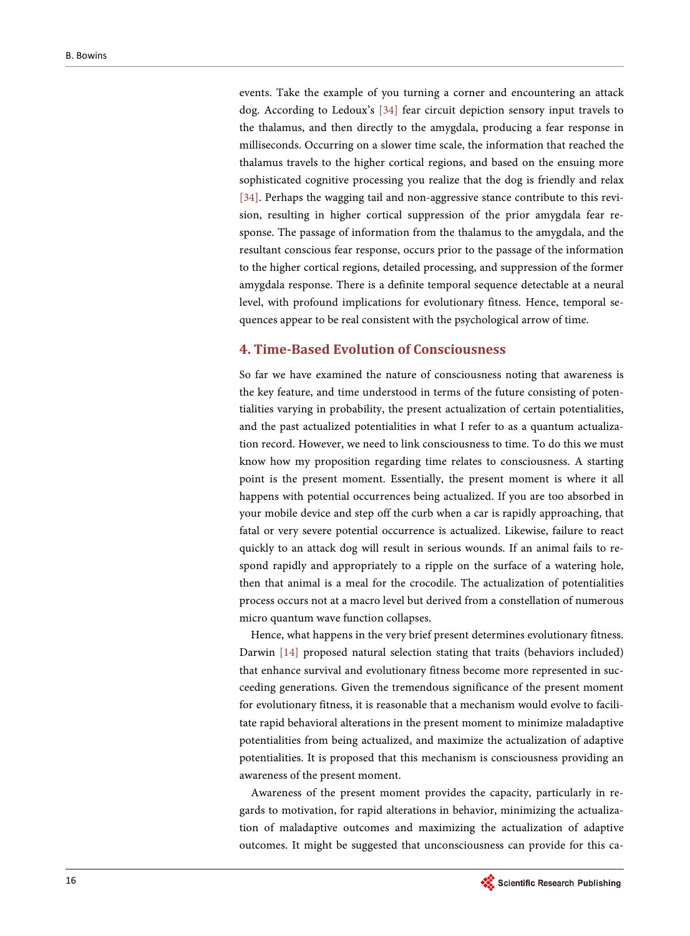events. Take the example of you turning a corner and encountering an attack dog. According to Ledoux's [\[34\]](#page-11-7) fear circuit depiction sensory input travels to the thalamus, and then directly to the amygdala, producing a fear response in milliseconds. Occurring on a slower time scale, the information that reached the thalamus travels to the higher cortical regions, and based on the ensuing more sophisticated cognitive processing you realize that the dog is friendly and relax [\[34\].](#page-11-7) Perhaps the wagging tail and non-aggressive stance contribute to this revision, resulting in higher cortical suppression of the prior amygdala fear response. The passage of information from the thalamus to the amygdala, and the resultant conscious fear response, occurs prior to the passage of the information to the higher cortical regions, detailed processing, and suppression of the former amygdala response. There is a definite temporal sequence detectable at a neural level, with profound implications for evolutionary fitness. Hence, temporal sequences appear to be real consistent with the psychological arrow of time.

## **4. Time-Based Evolution of Consciousness**

So far we have examined the nature of consciousness noting that awareness is the key feature, and time understood in terms of the future consisting of potentialities varying in probability, the present actualization of certain potentialities, and the past actualized potentialities in what I refer to as a quantum actualization record. However, we need to link consciousness to time. To do this we must know how my proposition regarding time relates to consciousness. A starting point is the present moment. Essentially, the present moment is where it all happens with potential occurrences being actualized. If you are too absorbed in your mobile device and step off the curb when a car is rapidly approaching, that fatal or very severe potential occurrence is actualized. Likewise, failure to react quickly to an attack dog will result in serious wounds. If an animal fails to respond rapidly and appropriately to a ripple on the surface of a watering hole, then that animal is a meal for the crocodile. The actualization of potentialities process occurs not at a macro level but derived from a constellation of numerous micro quantum wave function collapses.

Hence, what happens in the very brief present determines evolutionary fitness. Darwin [\[14\]](#page-10-6) proposed natural selection stating that traits (behaviors included) that enhance survival and evolutionary fitness become more represented in succeeding generations. Given the tremendous significance of the present moment for evolutionary fitness, it is reasonable that a mechanism would evolve to facilitate rapid behavioral alterations in the present moment to minimize maladaptive potentialities from being actualized, and maximize the actualization of adaptive potentialities. It is proposed that this mechanism is consciousness providing an awareness of the present moment.

Awareness of the present moment provides the capacity, particularly in regards to motivation, for rapid alterations in behavior, minimizing the actualization of maladaptive outcomes and maximizing the actualization of adaptive outcomes. It might be suggested that unconsciousness can provide for this ca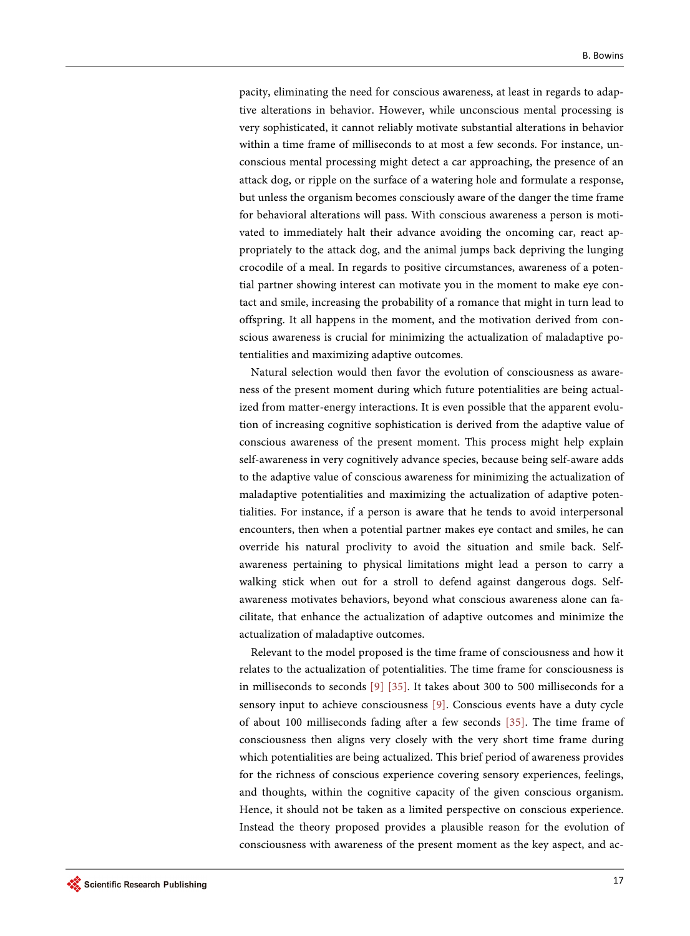pacity, eliminating the need for conscious awareness, at least in regards to adaptive alterations in behavior. However, while unconscious mental processing is very sophisticated, it cannot reliably motivate substantial alterations in behavior within a time frame of milliseconds to at most a few seconds. For instance, unconscious mental processing might detect a car approaching, the presence of an attack dog, or ripple on the surface of a watering hole and formulate a response, but unless the organism becomes consciously aware of the danger the time frame for behavioral alterations will pass. With conscious awareness a person is motivated to immediately halt their advance avoiding the oncoming car, react appropriately to the attack dog, and the animal jumps back depriving the lunging crocodile of a meal. In regards to positive circumstances, awareness of a potential partner showing interest can motivate you in the moment to make eye contact and smile, increasing the probability of a romance that might in turn lead to offspring. It all happens in the moment, and the motivation derived from conscious awareness is crucial for minimizing the actualization of maladaptive potentialities and maximizing adaptive outcomes.

Natural selection would then favor the evolution of consciousness as awareness of the present moment during which future potentialities are being actualized from matter-energy interactions. It is even possible that the apparent evolution of increasing cognitive sophistication is derived from the adaptive value of conscious awareness of the present moment. This process might help explain self-awareness in very cognitively advance species, because being self-aware adds to the adaptive value of conscious awareness for minimizing the actualization of maladaptive potentialities and maximizing the actualization of adaptive potentialities. For instance, if a person is aware that he tends to avoid interpersonal encounters, then when a potential partner makes eye contact and smiles, he can override his natural proclivity to avoid the situation and smile back. Selfawareness pertaining to physical limitations might lead a person to carry a walking stick when out for a stroll to defend against dangerous dogs. Selfawareness motivates behaviors, beyond what conscious awareness alone can facilitate, that enhance the actualization of adaptive outcomes and minimize the actualization of maladaptive outcomes.

Relevant to the model proposed is the time frame of consciousness and how it relates to the actualization of potentialities. The time frame for consciousness is in milliseconds to seconds [\[9\]](#page-10-1) [\[35\].](#page-11-8) It takes about 300 to 500 milliseconds for a sensory input to achieve consciousness [\[9\].](#page-10-1) Conscious events have a duty cycle of about 100 milliseconds fading after a few seconds [\[35\].](#page-11-8) The time frame of consciousness then aligns very closely with the very short time frame during which potentialities are being actualized. This brief period of awareness provides for the richness of conscious experience covering sensory experiences, feelings, and thoughts, within the cognitive capacity of the given conscious organism. Hence, it should not be taken as a limited perspective on conscious experience. Instead the theory proposed provides a plausible reason for the evolution of consciousness with awareness of the present moment as the key aspect, and ac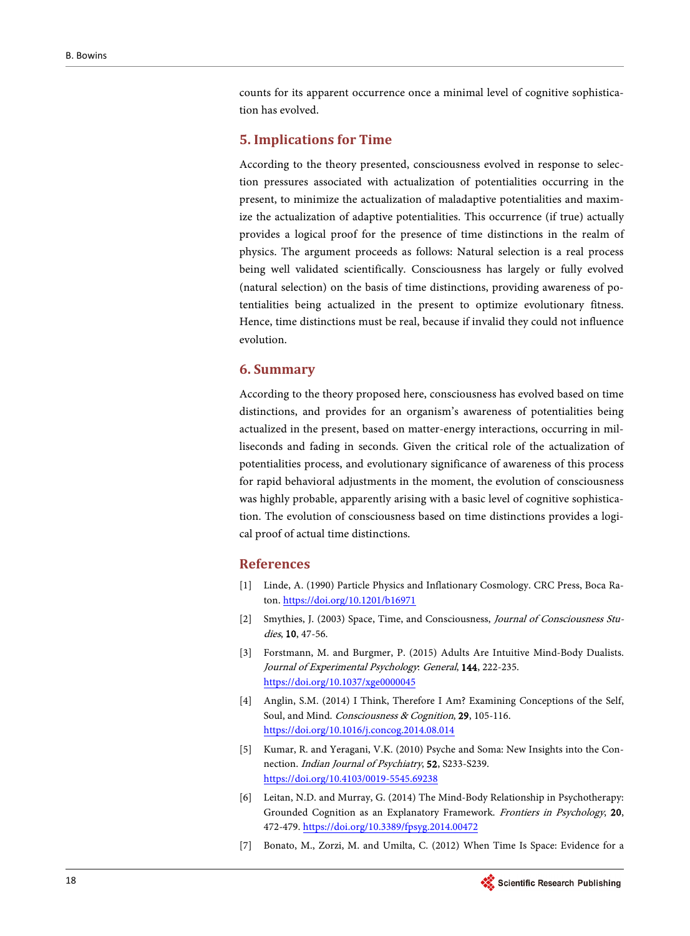counts for its apparent occurrence once a minimal level of cognitive sophistication has evolved.

## **5. Implications for Time**

According to the theory presented, consciousness evolved in response to selection pressures associated with actualization of potentialities occurring in the present, to minimize the actualization of maladaptive potentialities and maximize the actualization of adaptive potentialities. This occurrence (if true) actually provides a logical proof for the presence of time distinctions in the realm of physics. The argument proceeds as follows: Natural selection is a real process being well validated scientifically. Consciousness has largely or fully evolved (natural selection) on the basis of time distinctions, providing awareness of potentialities being actualized in the present to optimize evolutionary fitness. Hence, time distinctions must be real, because if invalid they could not influence evolution.

#### **6. Summary**

According to the theory proposed here, consciousness has evolved based on time distinctions, and provides for an organism's awareness of potentialities being actualized in the present, based on matter-energy interactions, occurring in milliseconds and fading in seconds. Given the critical role of the actualization of potentialities process, and evolutionary significance of awareness of this process for rapid behavioral adjustments in the moment, the evolution of consciousness was highly probable, apparently arising with a basic level of cognitive sophistication. The evolution of consciousness based on time distinctions provides a logical proof of actual time distinctions.

## **References**

- <span id="page-9-0"></span>[1] Linde, A. (1990) Particle Physics and Inflationary Cosmology. CRC Press, Boca Raton. <https://doi.org/10.1201/b16971>
- <span id="page-9-1"></span>[2] Smythies, J. (2003) Space, Time, and Consciousness, Journal of Consciousness Studies, 10, 47-56.
- <span id="page-9-2"></span>[3] Forstmann, M. and Burgmer, P. (2015) Adults Are Intuitive Mind-Body Dualists. Journal of Experimental Psychology: General, 144, 222-235. <https://doi.org/10.1037/xge0000045>
- <span id="page-9-3"></span>[4] Anglin, S.M. (2014) I Think, Therefore I Am? Examining Conceptions of the Self, Soul, and Mind. Consciousness & Cognition, 29, 105-116. <https://doi.org/10.1016/j.concog.2014.08.014>
- <span id="page-9-4"></span>[5] Kumar, R. and Yeragani, V.K. (2010) Psyche and Soma: New Insights into the Connection. Indian Journal of Psychiatry, 52, S233-S239. <https://doi.org/10.4103/0019-5545.69238>
- <span id="page-9-5"></span>[6] Leitan, N.D. and Murray, G. (2014) The Mind-Body Relationship in Psychotherapy: Grounded Cognition as an Explanatory Framework. Frontiers in Psychology, 20, 472-479. <https://doi.org/10.3389/fpsyg.2014.00472>
- <span id="page-9-6"></span>[7] Bonato, M., Zorzi, M. and Umilta, C. (2012) When Time Is Space: Evidence for a

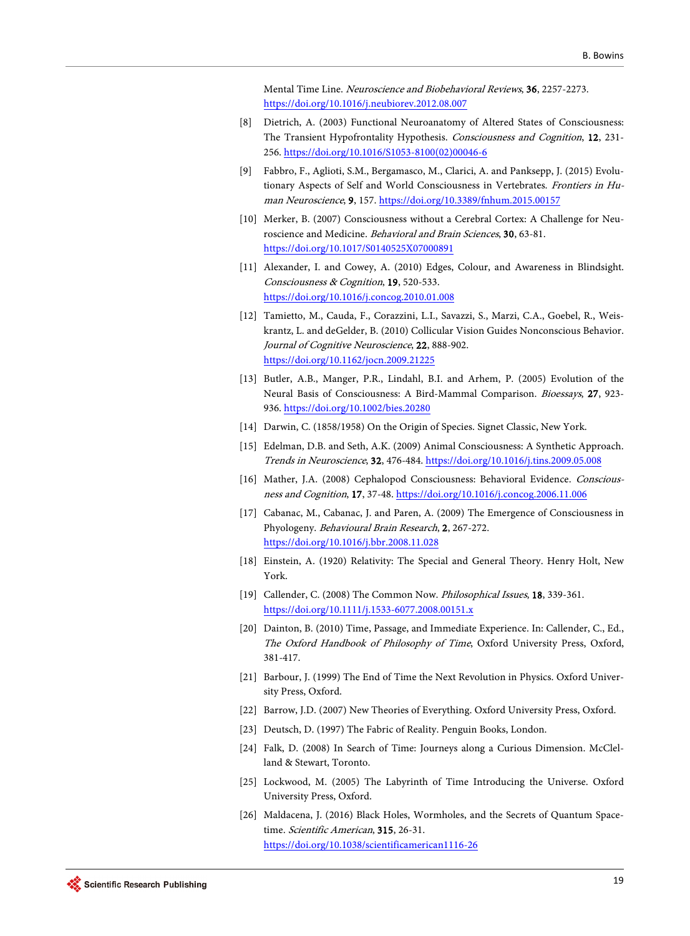Mental Time Line. Neuroscience and Biobehavioral Reviews, 36, 2257-2273. <https://doi.org/10.1016/j.neubiorev.2012.08.007>

- <span id="page-10-0"></span>[8] Dietrich, A. (2003) Functional Neuroanatomy of Altered States of Consciousness: The Transient Hypofrontality Hypothesis. Consciousness and Cognition, 12, 231- 256. [https://doi.org/10.1016/S1053-8100\(02\)00046-6](https://doi.org/10.1016/S1053-8100(02)00046-6)
- <span id="page-10-1"></span>[9] Fabbro, F., Aglioti, S.M., Bergamasco, M., Clarici, A. and Panksepp, J. (2015) Evolutionary Aspects of Self and World Consciousness in Vertebrates. Frontiers in Human Neuroscience, 9, 157. <https://doi.org/10.3389/fnhum.2015.00157>
- <span id="page-10-2"></span>[10] Merker, B. (2007) Consciousness without a Cerebral Cortex: A Challenge for Neuroscience and Medicine. Behavioral and Brain Sciences, 30, 63-81. <https://doi.org/10.1017/S0140525X07000891>
- <span id="page-10-3"></span>[11] Alexander, I. and Cowey, A. (2010) Edges, Colour, and Awareness in Blindsight. Consciousness & Cognition, 19, 520-533. <https://doi.org/10.1016/j.concog.2010.01.008>
- <span id="page-10-4"></span>[12] Tamietto, M., Cauda, F., Corazzini, L.I., Savazzi, S., Marzi, C.A., Goebel, R., Weiskrantz, L. and deGelder, B. (2010) Collicular Vision Guides Nonconscious Behavior. Journal of Cognitive Neuroscience, 22, 888-902. <https://doi.org/10.1162/jocn.2009.21225>
- <span id="page-10-5"></span>[13] Butler, A.B., Manger, P.R., Lindahl, B.I. and Arhem, P. (2005) Evolution of the Neural Basis of Consciousness: A Bird-Mammal Comparison. Bioessays, 27, 923- 936. <https://doi.org/10.1002/bies.20280>
- <span id="page-10-6"></span>[14] Darwin, C. (1858/1958) On the Origin of Species. Signet Classic, New York.
- <span id="page-10-7"></span>[15] Edelman, D.B. and Seth, A.K. (2009) Animal Consciousness: A Synthetic Approach. Trends in Neuroscience, 32, 476-484. <https://doi.org/10.1016/j.tins.2009.05.008>
- <span id="page-10-8"></span>[16] Mather, J.A. (2008) Cephalopod Consciousness: Behavioral Evidence. Consciousness and Cognition, 17, 37-48. <https://doi.org/10.1016/j.concog.2006.11.006>
- <span id="page-10-9"></span>[17] Cabanac, M., Cabanac, J. and Paren, A. (2009) The Emergence of Consciousness in Phyologeny. Behavioural Brain Research, 2, 267-272. <https://doi.org/10.1016/j.bbr.2008.11.028>
- <span id="page-10-10"></span>[18] Einstein, A. (1920) Relativity: The Special and General Theory. Henry Holt, New York.
- <span id="page-10-11"></span>[19] Callender, C. (2008) The Common Now. *Philosophical Issues*, **18**, 339-361. <https://doi.org/10.1111/j.1533-6077.2008.00151.x>
- <span id="page-10-12"></span>[20] Dainton, B. (2010) Time, Passage, and Immediate Experience. In: Callender, C., Ed., The Oxford Handbook of Philosophy of Time, Oxford University Press, Oxford, 381-417.
- <span id="page-10-13"></span>[21] Barbour, J. (1999) The End of Time the Next Revolution in Physics. Oxford University Press, Oxford.
- <span id="page-10-14"></span>[22] Barrow, J.D. (2007) New Theories of Everything. Oxford University Press, Oxford.
- <span id="page-10-15"></span>[23] Deutsch, D. (1997) The Fabric of Reality. Penguin Books, London.
- <span id="page-10-16"></span>[24] Falk, D. (2008) In Search of Time: Journeys along a Curious Dimension. McClelland & Stewart, Toronto.
- <span id="page-10-17"></span>[25] Lockwood, M. (2005) The Labyrinth of Time Introducing the Universe. Oxford University Press, Oxford.
- <span id="page-10-18"></span>[26] Maldacena, J. (2016) Black Holes, Wormholes, and the Secrets of Quantum Spacetime. Scientific American, 315, 26-31. <https://doi.org/10.1038/scientificamerican1116-26>